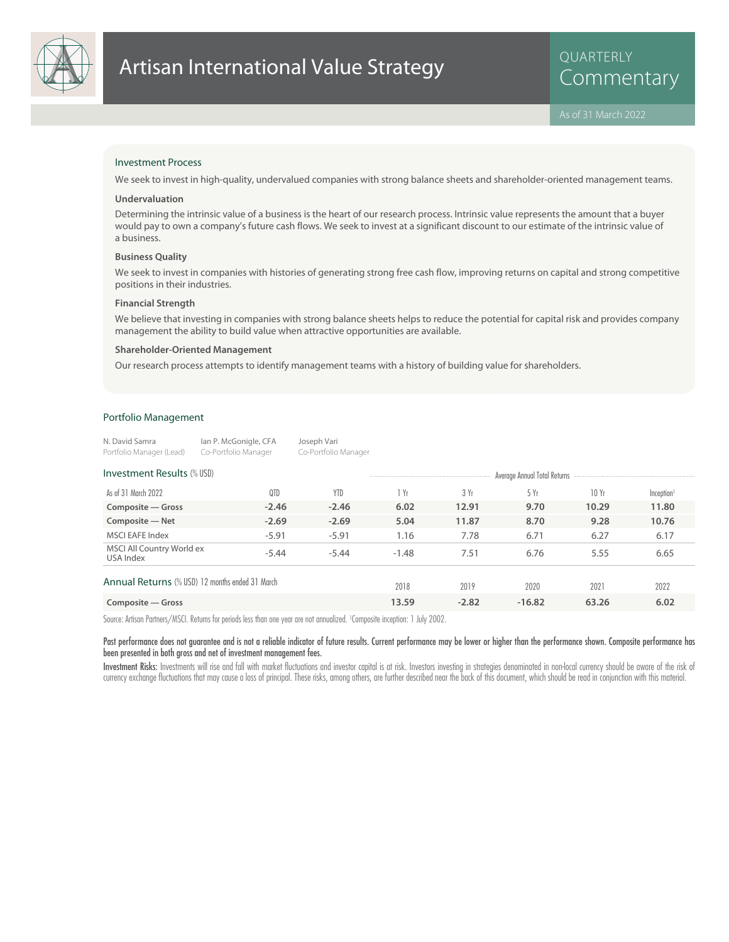

QUARTERLY

# Investment Process

We seek to invest in high-quality, undervalued companies with strong balance sheets and shareholder-oriented management teams.

#### **Undervaluation**

Determining the intrinsic value of a business is the heart of our research process. Intrinsic value represents the amount that a buyer would pay to own a company's future cash flows. We seek to invest at a significant discount to our estimate of the intrinsic value of a business.

#### **Business Quality**

We seek to invest in companies with histories of generating strong free cash flow, improving returns on capital and strong competitive positions in their industries.

#### **Financial Strength**

We believe that investing in companies with strong balance sheets helps to reduce the potential for capital risk and provides company management the ability to build value when attractive opportunities are available.

#### **Shareholder-Oriented Management**

Our research process attempts to identify management teams with a history of building value for shareholders.

# Portfolio Management

| N. David Samra           | lan P. McGonigle, CFA | Joseph Vari          |
|--------------------------|-----------------------|----------------------|
| Portfolio Manager (Lead) | Co-Portfolio Manager  | Co-Portfolio Manager |

| <b>Investment Results (% USD)</b>               |         |            | Average Annual Total Returns |         |          |       |                        |
|-------------------------------------------------|---------|------------|------------------------------|---------|----------|-------|------------------------|
| As of 31 March 2022                             | 0TD     | <b>YTD</b> | 1 Yr                         | 3 Yr    | 5 Yr     | 10Yr  | Inception <sup>1</sup> |
| Composite - Gross                               | $-2.46$ | $-2.46$    | 6.02                         | 12.91   | 9.70     | 10.29 | 11.80                  |
| Composite - Net                                 | $-2.69$ | $-2.69$    | 5.04                         | 11.87   | 8.70     | 9.28  | 10.76                  |
| <b>MSCI EAFE Index</b>                          | $-5.91$ | $-5.91$    | 1.16                         | 7.78    | 6.71     | 6.27  | 6.17                   |
| MSCI All Country World ex<br>USA Index          | $-5.44$ | $-5.44$    | $-1.48$                      | 7.51    | 6.76     | 5.55  | 6.65                   |
| Annual Returns (% USD) 12 months ended 31 March |         |            | 2018                         | 2019    | 2020     | 2021  | 2022                   |
| Composite — Gross                               |         |            | 13.59                        | $-2.82$ | $-16.82$ | 63.26 | 6.02                   |

Source: Artisan Partners/MSCI. Returns for periods less than one year are not annualized. <sup>1</sup> Composite inception: 1 July 2002.

Past performance does not guarantee and is not a reliable indicator of future results. Current performance may be lower or higher than the performance shown. Composite performance has been presented in both gross and net of investment management fees.

Investment Risks: Investments will rise and fall with market fluctuations and investor capital is at risk. Investors investing in strategies denominated in non-local currency should be aware of the risk of currency exchange fluctuations that may cause a loss of principal. These risks, among others, are further described near the back of this document, which should be read in conjunction with this material.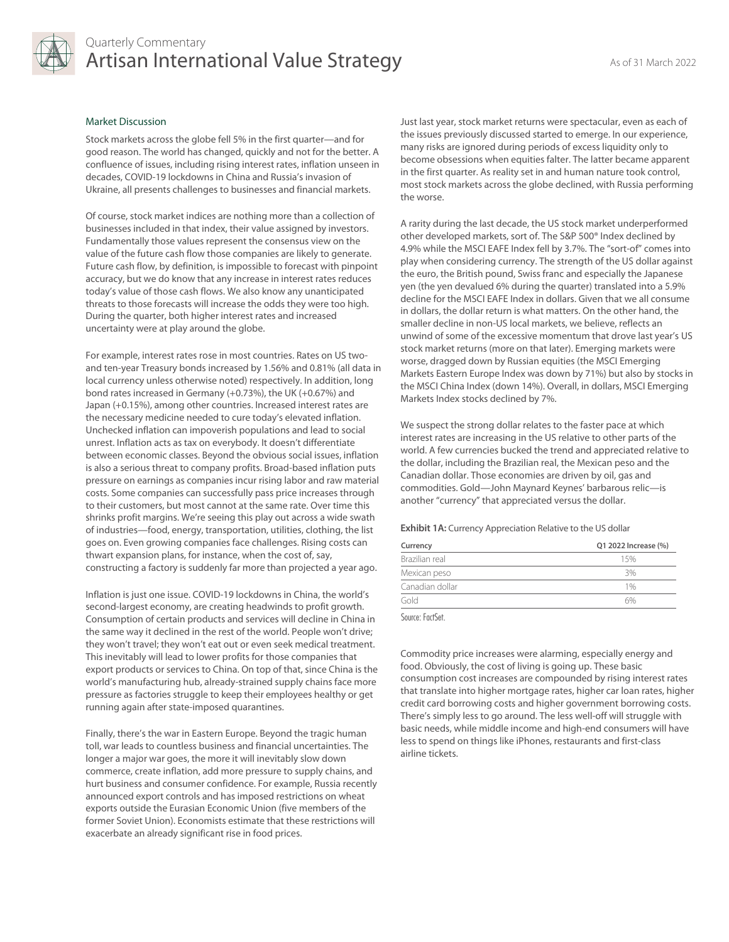

# Quarterly Commentary Artisan International Value Strategy As of 31 March 2022

#### Market Discussion

Stock markets across the globe fell 5% in the first quarter—and for good reason. The world has changed, quickly and not for the better. A confluence of issues, including rising interest rates, inflation unseen in decades, COVID-19 lockdowns in China and Russia's invasion of Ukraine, all presents challenges to businesses and financial markets.

Of course, stock market indices are nothing more than a collection of businesses included in that index, their value assigned by investors. Fundamentally those values represent the consensus view on the value of the future cash flow those companies are likely to generate. Future cash flow, by definition, is impossible to forecast with pinpoint accuracy, but we do know that any increase in interest rates reduces today's value of those cash flows. We also know any unanticipated threats to those forecasts will increase the odds they were too high. During the quarter, both higher interest rates and increased uncertainty were at play around the globe.

For example, interest rates rose in most countries. Rates on US twoand ten-year Treasury bonds increased by 1.56% and 0.81% (all data in local currency unless otherwise noted) respectively. In addition, long bond rates increased in Germany (+0.73%), the UK (+0.67%) and Japan (+0.15%), among other countries. Increased interest rates are the necessary medicine needed to cure today's elevated inflation. Unchecked inflation can impoverish populations and lead to social unrest. Inflation acts as tax on everybody. It doesn't differentiate between economic classes. Beyond the obvious social issues, inflation is also a serious threat to company profits. Broad-based inflation puts pressure on earnings as companies incur rising labor and raw material costs. Some companies can successfully pass price increases through to their customers, but most cannot at the same rate. Over time this shrinks profit margins. We're seeing this play out across a wide swath of industries—food, energy, transportation, utilities, clothing, the list goes on. Even growing companies face challenges. Rising costs can thwart expansion plans, for instance, when the cost of, say, constructing a factory is suddenly far more than projected a year ago.

Inflation is just one issue. COVID-19 lockdowns in China, the world's second-largest economy, are creating headwinds to profit growth. Consumption of certain products and services will decline in China in the same way it declined in the rest of the world. People won't drive; they won't travel; they won't eat out or even seek medical treatment. This inevitably will lead to lower profits for those companies that export products or services to China. On top of that, since China is the world's manufacturing hub, already-strained supply chains face more pressure as factories struggle to keep their employees healthy or get running again after state-imposed quarantines.

Finally, there's the war in Eastern Europe. Beyond the tragic human toll, war leads to countless business and financial uncertainties. The longer a major war goes, the more it will inevitably slow down commerce, create inflation, add more pressure to supply chains, and hurt business and consumer confidence. For example, Russia recently announced export controls and has imposed restrictions on wheat exports outside the Eurasian Economic Union (five members of the former Soviet Union). Economists estimate that these restrictions will exacerbate an already significant rise in food prices.

Just last year, stock market returns were spectacular, even as each of the issues previously discussed started to emerge. In our experience, many risks are ignored during periods of excess liquidity only to become obsessions when equities falter. The latter became apparent in the first quarter. As reality set in and human nature took control, most stock markets across the globe declined, with Russia performing the worse.

A rarity during the last decade, the US stock market underperformed other developed markets, sort of. The S&P 500® Index declined by 4.9% while the MSCI EAFE Index fell by 3.7%. The "sort-of" comes into play when considering currency. The strength of the US dollar against the euro, the British pound, Swiss franc and especially the Japanese yen (the yen devalued 6% during the quarter) translated into a 5.9% decline for the MSCI EAFE Index in dollars. Given that we all consume in dollars, the dollar return is what matters. On the other hand, the smaller decline in non-US local markets, we believe, reflects an unwind of some of the excessive momentum that drove last year's US stock market returns (more on that later). Emerging markets were worse, dragged down by Russian equities (the MSCI Emerging Markets Eastern Europe Index was down by 71%) but also by stocks in the MSCI China Index (down 14%). Overall, in dollars, MSCI Emerging Markets Index stocks declined by 7%.

We suspect the strong dollar relates to the faster pace at which interest rates are increasing in the US relative to other parts of the world. A few currencies bucked the trend and appreciated relative to the dollar, including the Brazilian real, the Mexican peso and the Canadian dollar. Those economies are driven by oil, gas and commodities. Gold—John Maynard Keynes' barbarous relic—is another "currency" that appreciated versus the dollar.

**Exhibit 1A:** Currency Appreciation Relative to the US dollar

| Currency        | Q1 2022 Increase (%) |
|-----------------|----------------------|
| Brazilian real  | 15%                  |
| Mexican peso    | 3%                   |
| Canadian dollar | 1%                   |
| Gold            | 6%                   |

Source: FactSet.

Commodity price increases were alarming, especially energy and food. Obviously, the cost of living is going up. These basic consumption cost increases are compounded by rising interest rates that translate into higher mortgage rates, higher car loan rates, higher credit card borrowing costs and higher government borrowing costs. There's simply less to go around. The less well-off will struggle with basic needs, while middle income and high-end consumers will have less to spend on things like iPhones, restaurants and first-class airline tickets.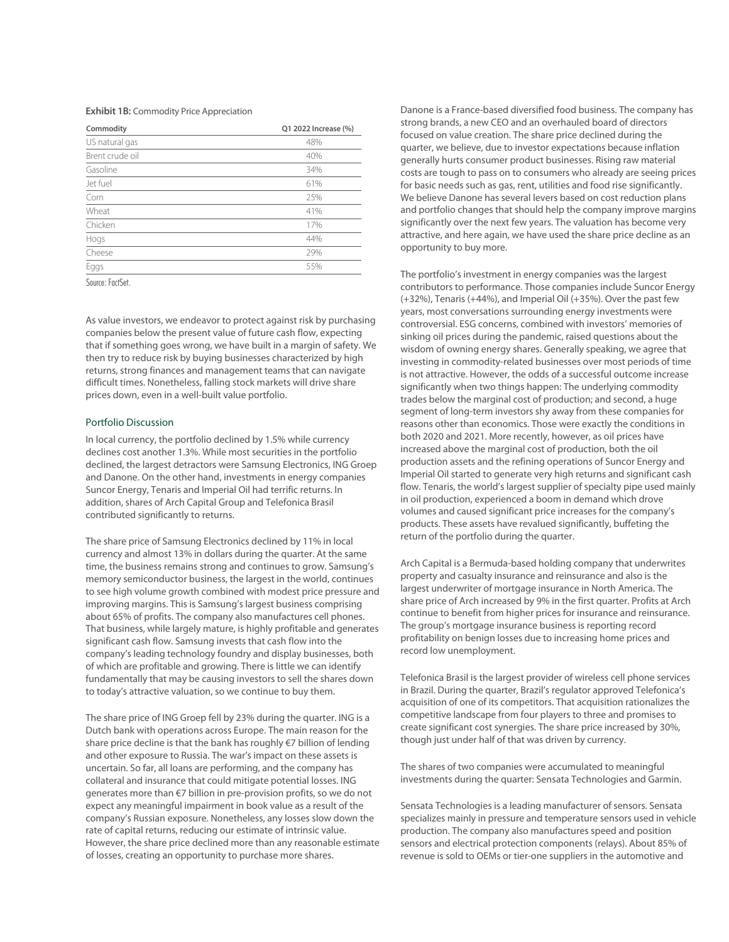### **Exhibit 1B:** Commodity Price Appreciation

| Commodity       | Q1 2022 Increase (%) |
|-----------------|----------------------|
| US natural gas  | 48%                  |
| Brent crude oil | 40%                  |
| Gasoline        | 34%                  |
| Jet fuel        | 61%                  |
| Corn            | 25%                  |
| Wheat           | 41%                  |
| Chicken         | 17%                  |
| Hogs            | 44%                  |
| Cheese          | 29%                  |
| Eggs            | 55%                  |
|                 |                      |

Source: FactSet.

As value investors, we endeavor to protect against risk by purchasing companies below the present value of future cash flow, expecting that if something goes wrong, we have built in a margin of safety. We then try to reduce risk by buying businesses characterized by high returns, strong finances and management teams that can navigate difficult times. Nonetheless, falling stock markets will drive share prices down, even in a well-built value portfolio.

### Portfolio Discussion

In local currency, the portfolio declined by 1.5% while currency declines cost another 1.3%. While most securities in the portfolio declined, the largest detractors were Samsung Electronics, ING Groep and Danone. On the other hand, investments in energy companies Suncor Energy, Tenaris and Imperial Oil had terrific returns. In addition, shares of Arch Capital Group and Telefonica Brasil contributed significantly to returns.

The share price of Samsung Electronics declined by 11% in local currency and almost 13% in dollars during the quarter. At the same time, the business remains strong and continues to grow. Samsung's memory semiconductor business, the largest in the world, continues to see high volume growth combined with modest price pressure and improving margins. This is Samsung's largest business comprising about 65% of profits. The company also manufactures cell phones. That business, while largely mature, is highly profitable and generates significant cash flow. Samsung invests that cash flow into the company's leading technology foundry and display businesses, both of which are profitable and growing. There is little we can identify fundamentally that may be causing investors to sell the shares down to today's attractive valuation, so we continue to buy them.

The share price of ING Groep fell by 23% during the quarter. ING is a Dutch bank with operations across Europe. The main reason for the share price decline is that the bank has roughly €7 billion of lending and other exposure to Russia. The war's impact on these assets is uncertain. So far, all loans are performing, and the company has collateral and insurance that could mitigate potential losses. ING generates more than €7 billion in pre-provision profits, so we do not expect any meaningful impairment in book value as a result of the company's Russian exposure. Nonetheless, any losses slow down the rate of capital returns, reducing our estimate of intrinsic value. However, the share price declined more than any reasonable estimate of losses, creating an opportunity to purchase more shares.

Danone is a France-based diversified food business. The company has strong brands, a new CEO and an overhauled board of directors focused on value creation. The share price declined during the quarter, we believe, due to investor expectations because inflation generally hurts consumer product businesses. Rising raw material costs are tough to pass on to consumers who already are seeing prices for basic needs such as gas, rent, utilities and food rise significantly. We believe Danone has several levers based on cost reduction plans and portfolio changes that should help the company improve margins significantly over the next few years. The valuation has become very attractive, and here again, we have used the share price decline as an opportunity to buy more.

The portfolio's investment in energy companies was the largest contributors to performance. Those companies include Suncor Energy (+32%), Tenaris (+44%), and Imperial Oil (+35%). Over the past few years, most conversations surrounding energy investments were controversial. ESG concerns, combined with investors' memories of sinking oil prices during the pandemic, raised questions about the wisdom of owning energy shares. Generally speaking, we agree that investing in commodity-related businesses over most periods of time is not attractive. However, the odds of a successful outcome increase significantly when two things happen: The underlying commodity trades below the marginal cost of production; and second, a huge segment of long-term investors shy away from these companies for reasons other than economics. Those were exactly the conditions in both 2020 and 2021. More recently, however, as oil prices have increased above the marginal cost of production, both the oil production assets and the refining operations of Suncor Energy and Imperial Oil started to generate very high returns and significant cash flow. Tenaris, the world's largest supplier of specialty pipe used mainly in oil production, experienced a boom in demand which drove volumes and caused significant price increases for the company's products. These assets have revalued significantly, buffeting the return of the portfolio during the quarter.

Arch Capital is a Bermuda-based holding company that underwrites property and casualty insurance and reinsurance and also is the largest underwriter of mortgage insurance in North America. The share price of Arch increased by 9% in the first quarter. Profits at Arch continue to benefit from higher prices for insurance and reinsurance. The group's mortgage insurance business is reporting record profitability on benign losses due to increasing home prices and record low unemployment.

Telefonica Brasil is the largest provider of wireless cell phone services in Brazil. During the quarter, Brazil's regulator approved Telefonica's acquisition of one of its competitors. That acquisition rationalizes the competitive landscape from four players to three and promises to create significant cost synergies. The share price increased by 30%, though just under half of that was driven by currency.

The shares of two companies were accumulated to meaningful investments during the quarter: Sensata Technologies and Garmin.

Sensata Technologies is a leading manufacturer of sensors. Sensata specializes mainly in pressure and temperature sensors used in vehicle production. The company also manufactures speed and position sensors and electrical protection components (relays). About 85% of revenue is sold to OEMs or tier-one suppliers in the automotive and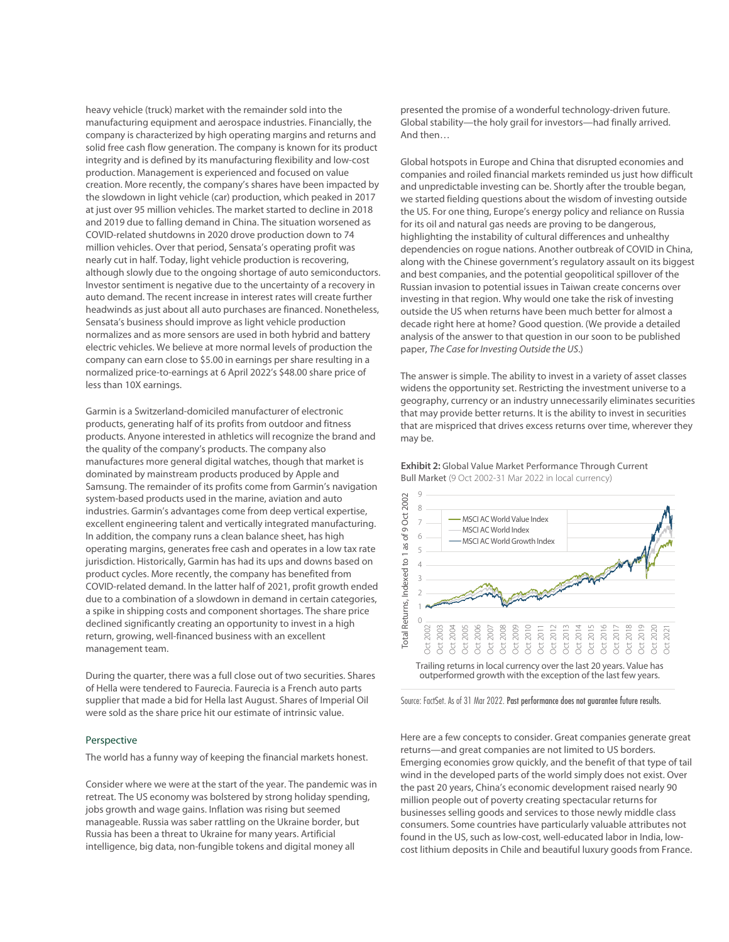heavy vehicle (truck) market with the remainder sold into the manufacturing equipment and aerospace industries. Financially, the company is characterized by high operating margins and returns and solid free cash flow generation. The company is known for its product integrity and is defined by its manufacturing flexibility and low-cost production. Management is experienced and focused on value creation. More recently, the company's shares have been impacted by the slowdown in light vehicle (car) production, which peaked in 2017 at just over 95 million vehicles. The market started to decline in 2018 and 2019 due to falling demand in China. The situation worsened as COVID-related shutdowns in 2020 drove production down to 74 million vehicles. Over that period, Sensata's operating profit was nearly cut in half. Today, light vehicle production is recovering, although slowly due to the ongoing shortage of auto semiconductors. Investor sentiment is negative due to the uncertainty of a recovery in auto demand. The recent increase in interest rates will create further headwinds as just about all auto purchases are financed. Nonetheless, Sensata's business should improve as light vehicle production normalizes and as more sensors are used in both hybrid and battery electric vehicles. We believe at more normal levels of production the company can earn close to \$5.00 in earnings per share resulting in a normalized price-to-earnings at 6 April 2022's \$48.00 share price of less than 10X earnings.

Garmin is a Switzerland-domiciled manufacturer of electronic products, generating half of its profits from outdoor and fitness products. Anyone interested in athletics will recognize the brand and the quality of the company's products. The company also manufactures more general digital watches, though that market is dominated by mainstream products produced by Apple and Samsung. The remainder of its profits come from Garmin's navigation system-based products used in the marine, aviation and auto industries. Garmin's advantages come from deep vertical expertise, excellent engineering talent and vertically integrated manufacturing. In addition, the company runs a clean balance sheet, has high operating margins, generates free cash and operates in a low tax rate jurisdiction. Historically, Garmin has had its ups and downs based on product cycles. More recently, the company has benefited from COVID-related demand. In the latter half of 2021, profit growth ended due to a combination of a slowdown in demand in certain categories, a spike in shipping costs and component shortages. The share price declined significantly creating an opportunity to invest in a high return, growing, well-financed business with an excellent management team.

During the quarter, there was a full close out of two securities. Shares of Hella were tendered to Faurecia. Faurecia is a French auto parts supplier that made a bid for Hella last August. Shares of Imperial Oil were sold as the share price hit our estimate of intrinsic value.

#### Perspective

The world has a funny way of keeping the financial markets honest.

Consider where we were at the start of the year. The pandemic was in retreat. The US economy was bolstered by strong holiday spending, jobs growth and wage gains. Inflation was rising but seemed manageable. Russia was saber rattling on the Ukraine border, but Russia has been a threat to Ukraine for many years. Artificial intelligence, big data, non-fungible tokens and digital money all

presented the promise of a wonderful technology-driven future. Global stability—the holy grail for investors—had finally arrived. And then…

Global hotspots in Europe and China that disrupted economies and companies and roiled financial markets reminded us just how difficult and unpredictable investing can be. Shortly after the trouble began, we started fielding questions about the wisdom of investing outside the US. For one thing, Europe's energy policy and reliance on Russia for its oil and natural gas needs are proving to be dangerous, highlighting the instability of cultural differences and unhealthy dependencies on rogue nations. Another outbreak of COVID in China, along with the Chinese government's regulatory assault on its biggest and best companies, and the potential geopolitical spillover of the Russian invasion to potential issues in Taiwan create concerns over investing in that region. Why would one take the risk of investing outside the US when returns have been much better for almost a decade right here at home? Good question. (We provide a detailed analysis of the answer to that question in our soon to be published paper, The Case for Investing Outside the US.)

The answer is simple. The ability to invest in a variety of asset classes widens the opportunity set. Restricting the investment universe to a geography, currency or an industry unnecessarily eliminates securities that may provide better returns. It is the ability to invest in securities that are mispriced that drives excess returns over time, wherever they may be.

**Exhibit 2:** Global Value Market Performance Through Current Bull Market (9 Oct 2002-31 Mar 2022 in local currency)



outperformed growth with the exception of the last few years.

Source: FactSet. As of 31 Mar 2022. Past performance does not guarantee future results.

Here are a few concepts to consider. Great companies generate great returns—and great companies are not limited to US borders. Emerging economies grow quickly, and the benefit of that type of tail wind in the developed parts of the world simply does not exist. Over the past 20 years, China's economic development raised nearly 90 million people out of poverty creating spectacular returns for businesses selling goods and services to those newly middle class consumers. Some countries have particularly valuable attributes not found in the US, such as low-cost, well-educated labor in India, lowcost lithium deposits in Chile and beautiful luxury goods from France.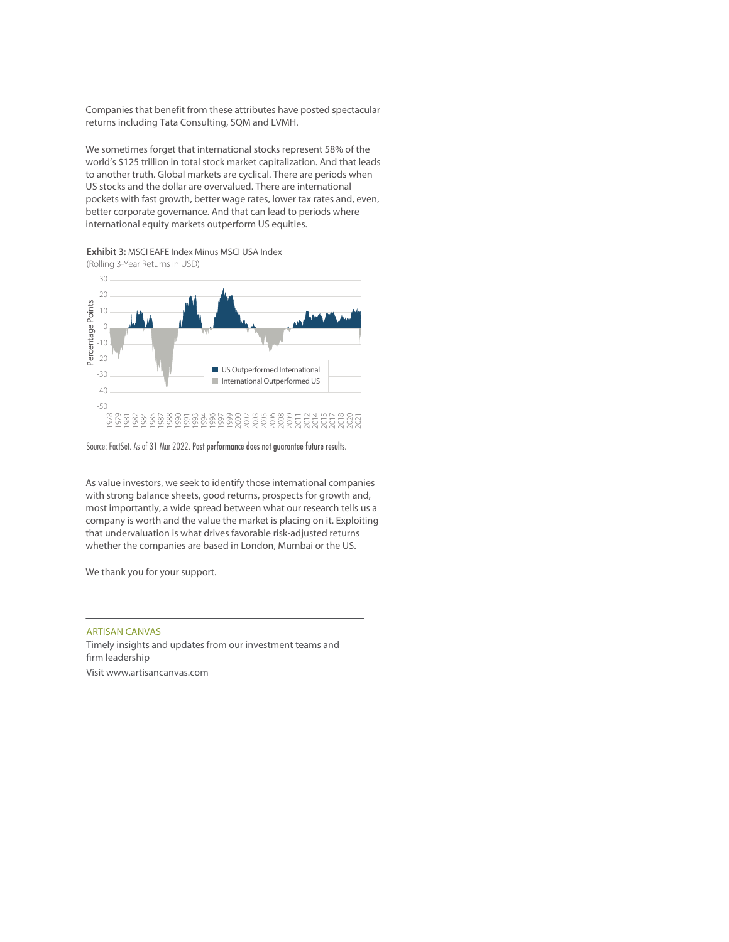Companies that benefit from these attributes have posted spectacular returns including Tata Consulting, SQM and LVMH.

We sometimes forget that international stocks represent 58% of the world's \$125 trillion in total stock market capitalization. And that leads to another truth. Global markets are cyclical. There are periods when US stocks and the dollar are overvalued. There are international pockets with fast growth, better wage rates, lower tax rates and, even, better corporate governance. And that can lead to periods where international equity markets outperform US equities.

**Exhibit 3:** MSCI EAFE Index Minus MSCI USA Index



Source: FactSet. As of 31 Mar 2022. Past performance does not guarantee future results.

As value investors, we seek to identify those international companies with strong balance sheets, good returns, prospects for growth and, most importantly, a wide spread between what our research tells us a company is worth and the value the market is placing on it. Exploiting that undervaluation is what drives favorable risk-adjusted returns whether the companies are based in London, Mumbai or the US.

We thank you for your support.

# ARTISAN CANVAS

Timely insights and updates from our investment teams and firm leadership Visit www.artisancanvas.com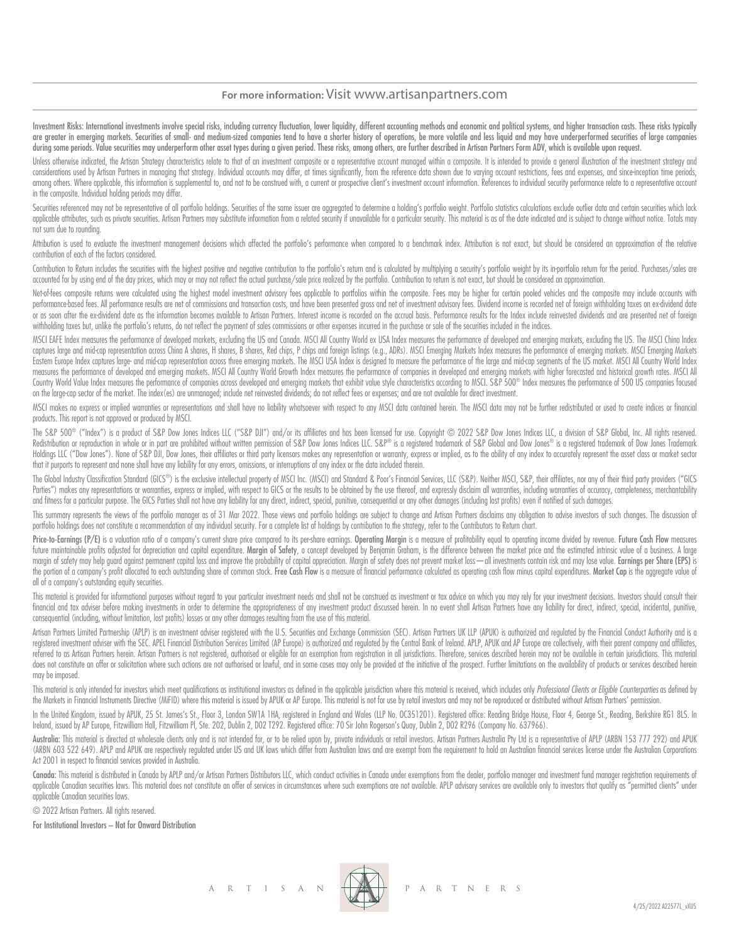# **For more information:** Visit www.artisanpartners.com

Investment Risks: International investments involve special risks, including currency fluctuation, lower liquidity, different accounting methods and economic and political systems, and higher transaction costs. These risks are greater in emerging markets. Securities of small- and medium-sized companies tend to have a shorter history of operations, be more volatile and less liquid and may have underperformed securities of large companies during some periods. Value securities may underperform other asset types during a given period. These risks, among others, are further described in Artisan Partners Form ADV, which is available upon request.

Unless otherwise indicated, the Artisan Strategy characteristics relate to that of an investment composite or a representative account managed within a composite. It is intended to provide a general illustration of the inv considerations used by Artisan Partners in managing that strategy. Individual accounts may differ, at times significantly, from the reference data shown due to varying account restrictions, fees and expenses, and since inc among others. Where applicable, this information is supplemental to, and not to be construed with, a current or prospective client's investment account information. References to individual security performance relate to a in the composite. Individual holding periods may differ.

Securities referenced may not be representative of all portfolio holdings. Securities of the same issuer are aggregated to determine a holding's portfolio weight. Portfolio statistics calculations exclude outlier data and applicable attributes, such as private securities. Artisan Partners may substitute information from a related security if unavailable for a particular security. This material is as of the date indicated and is subject to c not sum due to rounding.

Attribution is used to evaluate the investment management decisions which affected the portfolio's performance when compared to a benchmark index. Attribution is not exact, but should be considered an approximation of the contribution of each of the factors considered.

Contribution to Return includes the securities with the highest positive and negative contribution to the portfolio's return and is calculated by multiplying a security's portfolio weight by its in-portfolio return for the accounted for by using end of the day prices, which may or may not reflect the actual purchase/sale price realized by the portfolio. Contribution to return is not exact, but should be considered an approximation.

Net-of-fees composite returns were calculated using the highest model investment advisory fees applicable to portfolios within the composite. Fees may be higher for certain pooled vehicles and the composite may include acc performance-based fees. All performance results are net of commissions and transaction costs, and have been presented gross and net of investment advisory fees. Dividend income is recorded net of foreign withholding taxes or as soon after the ex-dividend date as the information becomes available to Artisan Partners. Interest income is recorded on the accrual basis. Performance results for the Index include reinvested dividends and are prese withholding taxes but, unlike the portfolio's returns, do not reflect the payment of sales commissions or other expenses incurred in the purchase or sale of the securities included in the indices.

MSCI EAFE Index measures the performance of developed markets, excluding the US and Canada. MSCI All Country World ex USA Index measures the performance of developed and emerging markets, excluding the US. The MSCI China I captures large and mid-cap representation across China A shares, H shares, B shares, Red chips, P chips and foreign listings (e.g., ADRs). MSCI Emerging Markets Index measures the performance of emerging markets. MSCI Emer Eastern Europe Index captures large- and mid-cap representation across three emerging markets. The MSCI USA Index is designed to measure the performance of the large and mid-cap segments of the US market. MSCI All Country measures the performance of developed and emerging markets. MSCI All Country World Growth Index measures the performance of companies in developed and emerging markets with higher forecasted and historical growth rates. MS Country World Value Index measures the performance of companies across developed and emerging markets that exhibit value style characteristics according to MSCI. S&P 500® Index measures the performance of 500 US companies on the large-cap sector of the market. The index(es) are unmanaged; include net reinvested dividends; do not reflect fees or expenses; and are not available for direct investment.

MSCI makes no express or implied warranties or representations and shall have no liability whatsoever with respect to any MSCI data contained herein. The MSCI data may not be further redistributed or used to create indices products. This report is not approved or produced by MSCI.

The S&P 500® ("Index") is a product of S&P Dow Jones Indices LLC ("S&P DJI") and/or its affiliates and has been licensed for use. Copyright © 2022 S&P Dow Jones Indices LLC, a division of S&P Global, Inc. All rights reserv Redistribution or reproduction in whole or in part are prohibited without written permission of S&P Dow Jones Indices LLC. S&P® is a registered trademark of S&P Global and Dow Jones® is a registered trademark of Dow Jones Holdings LLC ("Dow Jones"). None of S&P DJI, Dow Jones, their affiliates or third party licensors makes any representation or warranty, express or implied, as to the ability of any index to accurately represent the asset c that it purports to represent and none shall have any liability for any errors, omissions, or interruptions of any index or the data included therein.

The Global Industry Classification Standard (GICS®) is the exclusive intellectual property of MSCI Inc. (MSCI) and Standard & Poor's Financial Services, LLC (S&P). Neither MSCI, S&P, their affiliates, nor any of their thir Parties") makes any representations or warranties, express or implied, with respect to GICS or the results to be obtained by the use thereof, and expressly disclaim all warranties, including warranties of accuracy, complet and fitness for a particular purpose. The GICS Parties shall not have any liability for any direct, indirect, special, punitive, consequential or any other damages (including lost profits) even if notified of such damages.

This summary represents the views of the portfolio manager as of 31 Mar 2022. Those views and portfolio holdings are subject to change and Artisan Partners disclaims any obligation to advise investors of such changes. The portfolio holdings does not constitute a recommendation of any individual security. For a complete list of holdings by contribution to the strategy, refer to the Contributors to Return chart.

Price-to-Earnings (P/E) is a valuation ratio of a company's current share price compared to its pershare earnings. Operating Margin is a measure of profitability equal to operating income divided by revenue. Future Cash Fl future maintainable profits adjusted for depreciation and capital expenditure. Margin of Safety, a concept developed by Benjamin Graham, is the difference between the market price and the estimated intrinsic value of a bus margin of safety may help guard against permanent capital loss and improve the probability of capital appreciation. Margin of safety does not prevent market loss - all investments contain risk and may lose value. Earnings the portion of a company's profit allocated to each outstanding share of common stock. Free Cash Flow is a measure of financial performance calculated as operating cash flow minus capital expenditures. Market Cap is the ag all of a company's outstanding equity securities.

This material is provided for informational purposes without regard to your particular investment needs and shall not be construed as investment or tax advice on which you may rely for your investment decisions. Investors financial and tax adviser before making investments in order to determine the appropriateness of any investment product discussed herein. In no event shall Artisan Partners have any liability for direct, indirect, special, consequential (including, without limitation, lost profits) losses or any other damages resulting from the use of this material.

Artisan Partners Limited Partnership (APLP) is an investment adviser registered with the U.S. Securities and Exchange Commission (SEC). Artisan Partners UK LLP (APUK) is authorized and regulated by the Financial Conduct Au registered investment adviser with the SEC. APEL Financial Distribution Services Limited (AP Europe) is authorized and regulated by the Central Bank of Ireland. APLP, APUK and AP Europe are collectively, with their parent referred to as Artisan Partners herein. Artisan Partners is not registered, authorised or eligible for an exemption from registration in all jurisdictions. Therefore, services described herein may not be available in certa does not constitute an offer or solicitation where such actions are not authorised or lawful, and in some cases may only be provided at the initiative of the prospect. Further limitations on the availability of products or may be imposed.

This material is only intended for investors which meet qualifications as institutional investors as defined in the applicable jurisdiction where this material is received, which includes only Professional Clients or Eligi the Markets in Financial Instruments Directive (MiFID) where this material is issued by APUK or AP Europe. This material is not for use by retail investors and may not be reproduced or distributed without Artisan Partners'

In the United Kingdom, issued by APUK, 25 St. James's St., Floor 3, London SW1A 1HA, registered in England and Wales (LLP No. OC351201). Registered office: Reading Bridge House, Floor 4, George St., Reading, Berkshire RG1 Ireland, issued by AP Europe, Fitzwilliam Hall, Fitzwilliam Pl, Ste. 202, Dublin 2, D02 T292. Registered office: 70 Sir John Rogerson's Quay, Dublin 2, D02 R296 (Company No. 637966).

Australia: This material is directed at wholesale clients only and is not intended for, or to be relied upon by, private individuals or retail investors. Artisan Partnes Australia Pty Ltd is a representative of APLP (ARBN (ARBN 603 522 649). APLP and APUK are respectively regulated under US and UK laws which differ from Australian laws and are exempt from the requirement to hold an Australian financial services license under the Australian Act 2001 in respect to financial services provided in Australia.

Canada: This material is distributed in Canada by APLP and/or Artisan Partners Distributors LLC, which conduct activities in Canada under exemptions from the dealer, portfolio manager and investment fund manager registrati applicable Canadian securities laws. This material does not constitute an offer of services in circumstances where such exemptions are not available. APLP advisory services are available only to investors that quality as " applicable Canadian securities laws.

© 2022 Artisan Partners. All rights reserved.

For Institutional Investors – Not for Onward Distribution